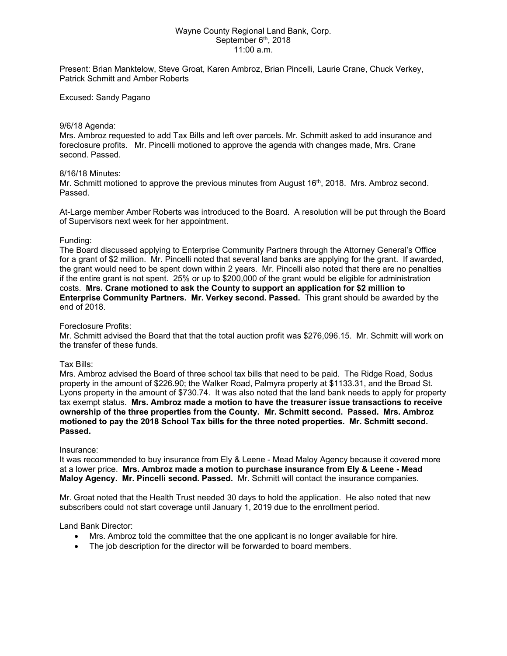## Wayne County Regional Land Bank, Corp. September 6<sup>th</sup>, 2018 11:00 a.m.

Present: Brian Manktelow, Steve Groat, Karen Ambroz, Brian Pincelli, Laurie Crane, Chuck Verkey, Patrick Schmitt and Amber Roberts

## Excused: Sandy Pagano

#### 9/6/18 Agenda:

Mrs. Ambroz requested to add Tax Bills and left over parcels. Mr. Schmitt asked to add insurance and foreclosure profits. Mr. Pincelli motioned to approve the agenda with changes made, Mrs. Crane second. Passed.

## 8/16/18 Minutes:

Mr. Schmitt motioned to approve the previous minutes from August 16<sup>th</sup>, 2018. Mrs. Ambroz second. Passed.

At-Large member Amber Roberts was introduced to the Board. A resolution will be put through the Board of Supervisors next week for her appointment.

## Funding:

The Board discussed applying to Enterprise Community Partners through the Attorney General's Office for a grant of \$2 million. Mr. Pincelli noted that several land banks are applying for the grant. If awarded, the grant would need to be spent down within 2 years. Mr. Pincelli also noted that there are no penalties if the entire grant is not spent. 25% or up to \$200,000 of the grant would be eligible for administration costs. **Mrs. Crane motioned to ask the County to support an application for \$2 million to Enterprise Community Partners. Mr. Verkey second. Passed.** This grant should be awarded by the end of 2018.

#### Foreclosure Profits:

Mr. Schmitt advised the Board that that the total auction profit was \$276,096.15. Mr. Schmitt will work on the transfer of these funds.

## Tax Bills:

Mrs. Ambroz advised the Board of three school tax bills that need to be paid. The Ridge Road, Sodus property in the amount of \$226.90; the Walker Road, Palmyra property at \$1133.31, and the Broad St. Lyons property in the amount of \$730.74. It was also noted that the land bank needs to apply for property tax exempt status. **Mrs. Ambroz made a motion to have the treasurer issue transactions to receive ownership of the three properties from the County. Mr. Schmitt second. Passed. Mrs. Ambroz motioned to pay the 2018 School Tax bills for the three noted properties. Mr. Schmitt second. Passed.**

#### Insurance:

It was recommended to buy insurance from Ely & Leene - Mead Maloy Agency because it covered more at a lower price. **Mrs. Ambroz made a motion to purchase insurance from Ely & Leene - Mead Maloy Agency. Mr. Pincelli second. Passed.** Mr. Schmitt will contact the insurance companies.

Mr. Groat noted that the Health Trust needed 30 days to hold the application. He also noted that new subscribers could not start coverage until January 1, 2019 due to the enrollment period.

#### Land Bank Director:

- Mrs. Ambroz told the committee that the one applicant is no longer available for hire.
- The job description for the director will be forwarded to board members.